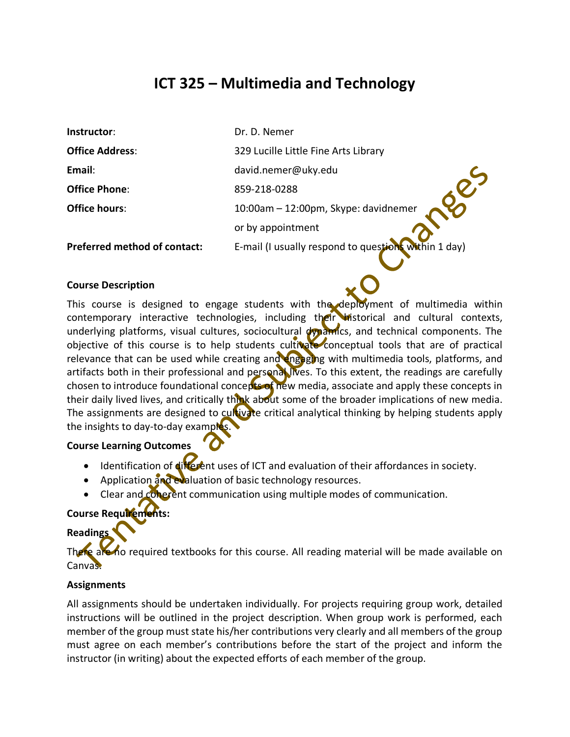# **ICT 325 – Multimedia and Technology**

| Instructor:                         | Dr. D. Nemer                                         |  |
|-------------------------------------|------------------------------------------------------|--|
| <b>Office Address:</b>              | 329 Lucille Little Fine Arts Library                 |  |
| Email:                              | david.nemer@uky.edu                                  |  |
| <b>Office Phone:</b>                | 859-218-0288                                         |  |
| <b>Office hours:</b>                | 10:00am - 12:00pm, Skype: davidnemer                 |  |
|                                     | or by appointment                                    |  |
| <b>Preferred method of contact:</b> | E-mail (I usually respond to questions within 1 day) |  |

#### **Course Description**

This course is designed to engage students with the deployment of multimedia within contemporary interactive technologies, including their historical and cultural contexts, underlying platforms, visual cultures, sociocultural dynamics, and technical components. The objective of this course is to help students cultivate conceptual tools that are of practical relevance that can be used while creating and engaging with multimedia tools, platforms, and artifacts both in their professional and personal lives. To this extent, the readings are carefully chosen to introduce foundational concepts of new media, associate and apply these concepts in their daily lived lives, and critically think about some of the broader implications of new media. The assignments are designed to cultivate critical analytical thinking by helping students apply the insights to day-to-day examples.

## **Course Learning Outcomes**

- Identification of different uses of ICT and evaluation of their affordances in society.
- Application and evaluation of basic technology resources.
- Clear and coherent communication using multiple modes of communication.

## **Course Requirements:**

## **Reading**

**Re are no required textbooks for this course. All reading material will be made available on** Canvas.

## **Assignments**

All assignments should be undertaken individually. For projects requiring group work, detailed instructions will be outlined in the project description. When group work is performed, each member of the group must state his/her contributions very clearly and all members of the group must agree on each member's contributions before the start of the project and inform the instructor (in writing) about the expected efforts of each member of the group.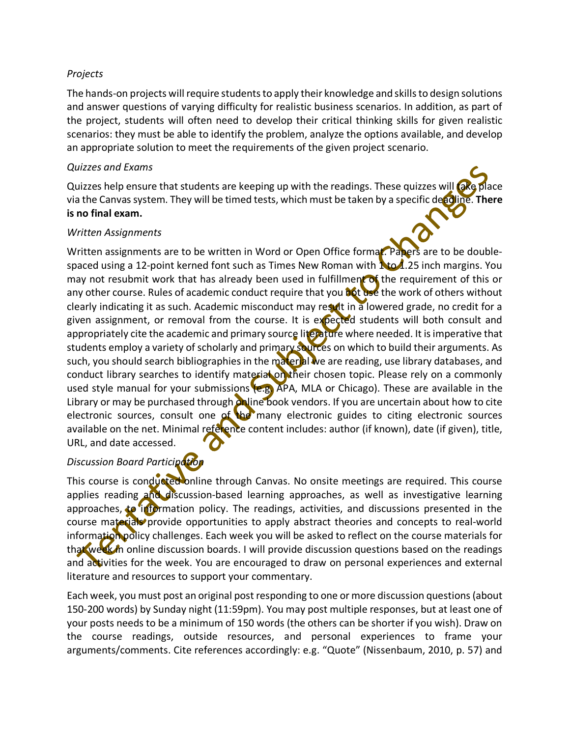## *Projects*

The hands-on projects will require students to apply their knowledge and skills to design solutions and answer questions of varying difficulty for realistic business scenarios. In addition, as part of the project, students will often need to develop their critical thinking skills for given realistic scenarios: they must be able to identify the problem, analyze the options available, and develop an appropriate solution to meet the requirements of the given project scenario.

## *Quizzes and Exams*

Quizzes help ensure that students are keeping up with the readings. These quizzes will ake place via the Canvas system. They will be timed tests, which must be taken by a specific deadline. **There is no final exam.**

## *Written Assignments*

Written assignments are to be written in Word or Open Office format. Papers are to be doublespaced using a 12-point kerned font such as Times New Roman with  $\Lambda$  to 1.25 inch margins. You may not resubmit work that has already been used in fulfillment of the requirement of this or any other course. Rules of academic conduct require that you not use the work of others without clearly indicating it as such. Academic misconduct may result in a lowered grade, no credit for a given assignment, or removal from the course. It is expected students will both consult and appropriately cite the academic and primary source literature where needed. It is imperative that students employ a variety of scholarly and primary sources on which to build their arguments. As such, you should search bibliographies in the material we are reading, use library databases, and conduct library searches to identify material on their chosen topic. Please rely on a commonly used style manual for your submissions (e.g. APA, MLA or Chicago). These are available in the Library or may be purchased through online book vendors. If you are uncertain about how to cite electronic sources, consult one of the many electronic guides to citing electronic sources available on the net. Minimal reference content includes: author (if known), date (if given), title, URL, and date accessed.

## *Discussion Board Participation*

This course is conducted online through Canvas. No onsite meetings are required. This course applies reading and discussion-based learning approaches, as well as investigative learning approaches, to information policy. The readings, activities, and discussions presented in the course materials provide opportunities to apply abstract theories and concepts to real-world information policy challenges. Each week you will be asked to reflect on the course materials for that week in online discussion boards. I will provide discussion questions based on the readings and activities for the week. You are encouraged to draw on personal experiences and external literature and resources to support your commentary.

Each week, you must post an original post responding to one or more discussion questions (about 150-200 words) by Sunday night (11:59pm). You may post multiple responses, but at least one of your posts needs to be a minimum of 150 words (the others can be shorter if you wish). Draw on the course readings, outside resources, and personal experiences to frame your arguments/comments. Cite references accordingly: e.g. "Quote" (Nissenbaum, 2010, p. 57) and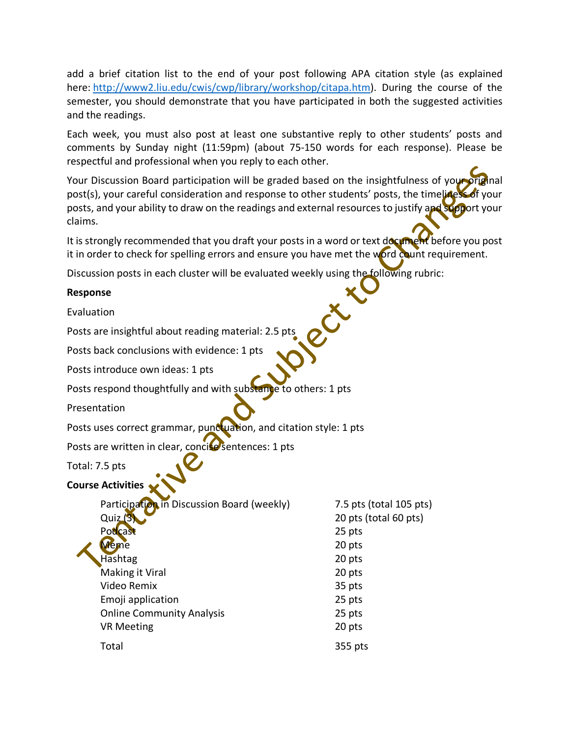add a brief citation list to the end of your post following APA citation style (as explained here: http://www2.liu.edu/cwis/cwp/library/workshop/citapa.htm). During the course of the semester, you should demonstrate that you have participated in both the suggested activities and the readings.

Each week, you must also post at least one substantive reply to other students' posts and comments by Sunday night (11:59pm) (about 75-150 words for each response). Please be respectful and professional when you reply to each other.

Your Discussion Board participation will be graded based on the insightfulness of your original post(s), your careful consideration and response to other students' posts, the timelicess of your posts, and your ability to draw on the readings and external resources to justify and support your claims.

It is strongly recommended that you draft your posts in a word or text document before you post it in order to check for spelling errors and ensure you have met the word count requirement.

Discussion posts in each cluster will be evaluated weekly using the following rubric:

## **Response**

Evaluation

Posts are insightful about reading material: 2.5 pts

Posts back conclusions with evidence: 1 pts

Posts introduce own ideas: 1 pts

Posts respond thoughtfully and with substance to others: 1 pts

Presentation

Posts uses correct grammar, punctuation, and citation style: 1 pts

Posts are written in clear, concise sentences: 1 pts

Total: 7.5 pts

## **Course Activities**

| Participation in Discussion Board (weekly) | 7.5 pts (total 105 pts) |
|--------------------------------------------|-------------------------|
| Quiz(3)                                    | 20 pts (total 60 pts)   |
| Podcast                                    | 25 pts                  |
| <b>Meme</b>                                | 20 pts                  |
| Hashtag                                    | 20 pts                  |
| Making it Viral                            | 20 pts                  |
| Video Remix                                | 35 pts                  |
| Emoji application                          | 25 pts                  |
| <b>Online Community Analysis</b>           | 25 pts                  |
| <b>VR Meeting</b>                          | 20 pts                  |
| Total                                      | 355 pts                 |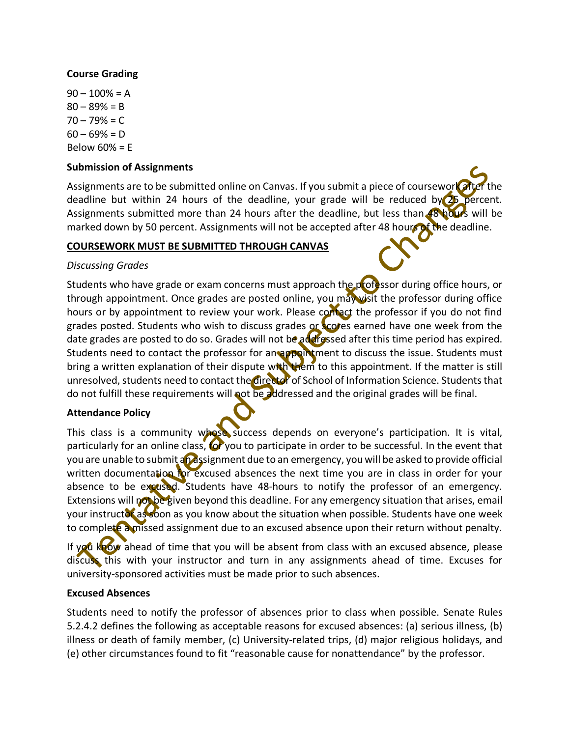## **Course Grading**

 $90 - 100\% = A$  $80 - 89% = B$  $70 - 79% = C$  $60 - 69% = D$ Below 60% = E

## **Submission of Assignments**

Assignments are to be submitted online on Canvas. If you submit a piece of coursework after deadline but within 24 hours of the deadline, your grade will be reduced by 25 percent. Assignments submitted more than 24 hours after the deadline, but less than 48 hours will be marked down by 50 percent. Assignments will not be accepted after 48 hours of the deadline.

## **COURSEWORK MUST BE SUBMITTED THROUGH CANVAS**

## *Discussing Grades*

Students who have grade or exam concerns must approach the professor during office hours, or through appointment. Once grades are posted online, you may visit the professor during office hours or by appointment to review your work. Please contact the professor if you do not find grades posted. Students who wish to discuss grades or scores earned have one week from the date grades are posted to do so. Grades will not be addressed after this time period has expired. Students need to contact the professor for an appointment to discuss the issue. Students must bring a written explanation of their dispute with them to this appointment. If the matter is still unresolved, students need to contact the director of School of Information Science. Students that do not fulfill these requirements will not be addressed and the original grades will be final.

## **Attendance Policy**

This class is a community whose success depends on everyone's participation. It is vital, particularly for an online class, tor you to participate in order to be successful. In the event that you are unable to submit an assignment due to an emergency, you will be asked to provide official written documentation for excused absences the next time you are in class in order for your absence to be excused. Students have 48-hours to notify the professor of an emergency. Extensions will not be given beyond this deadline. For any emergency situation that arises, email your instructor as soon as you know about the situation when possible. Students have one week to complete a missed assignment due to an excused absence upon their return without penalty.

If you know ahead of time that you will be absent from class with an excused absence, please discuss this with your instructor and turn in any assignments ahead of time. Excuses for university-sponsored activities must be made prior to such absences.

## **Excused Absences**

Students need to notify the professor of absences prior to class when possible. Senate Rules 5.2.4.2 defines the following as acceptable reasons for excused absences: (a) serious illness, (b) illness or death of family member, (c) University-related trips, (d) major religious holidays, and (e) other circumstances found to fit "reasonable cause for nonattendance" by the professor.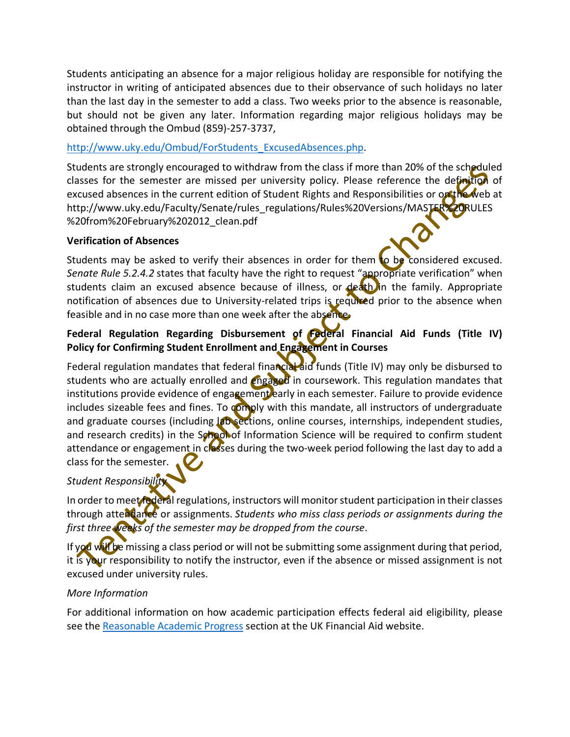Students anticipating an absence for a major religious holiday are responsible for notifying the instructor in writing of anticipated absences due to their observance of such holidays no later than the last day in the semester to add a class. Two weeks prior to the absence is reasonable, but should not be given any later. Information regarding major religious holidays may be obtained through the Ombud (859)-257-3737,

## http://www.uky.edu/Ombud/ForStudents\_ExcusedAbsences.php.

Students are strongly encouraged to withdraw from the class if more than 20% of the scheduled classes for the semester are missed per university policy. Please reference the definition of excused absences in the current edition of Student Rights and Responsibilities or ontheweb at http://www.uky.edu/Faculty/Senate/rules\_regulations/Rules%20Versions/MASTER%20RULES %20from%20February%202012\_clean.pdf

## **Verification of Absences**

Students may be asked to verify their absences in order for them to be considered excused. *Senate Rule 5.2.4.2* states that faculty have the right to request "appropriate verification" when students claim an excused absence because of illness, or death in the family. Appropriate notification of absences due to University-related trips is required prior to the absence when feasible and in no case more than one week after the absence.

## **Federal Regulation Regarding Disbursement of Federal Financial Aid Funds (Title IV) Policy for Confirming Student Enrollment and Engagement in Courses**

Federal regulation mandates that federal financial aid funds (Title IV) may only be disbursed to students who are actually enrolled and *engaged* in coursework. This regulation mandates that institutions provide evidence of engagement early in each semester. Failure to provide evidence includes sizeable fees and fines. To comply with this mandate, all instructors of undergraduate and graduate courses (including lab sections, online courses, internships, independent studies, and research credits) in the School of Information Science will be required to confirm student attendance or engagement in classes during the two-week period following the last day to add a class for the semester.

## *Student Responsibility*

In order to meet federal regulations, instructors will monitor student participation in their classes through attendance or assignments. *Students who miss class periods or assignments during the first three weeks of the semester may be dropped from the course*.

If you will be missing a class period or will not be submitting some assignment during that period, it is your responsibility to notify the instructor, even if the absence or missed assignment is not excused under university rules.

## *More Information*

For additional information on how academic participation effects federal aid eligibility, please see the Reasonable Academic Progress section at the UK Financial Aid website.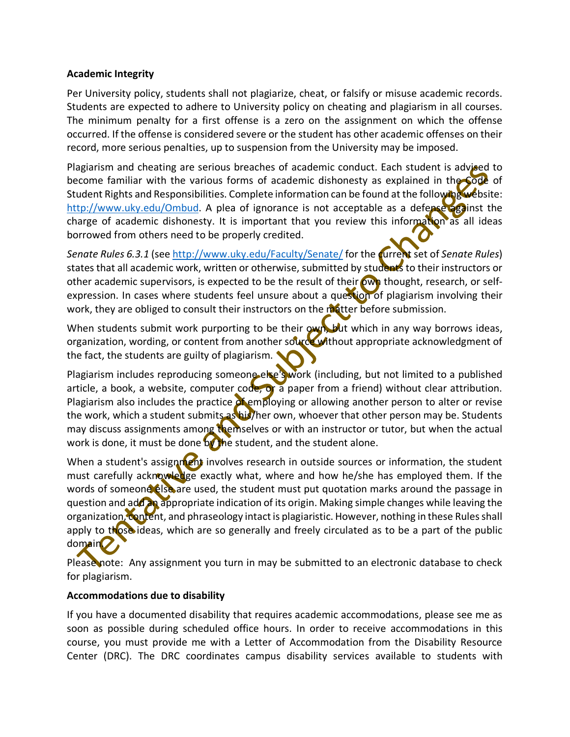## **Academic Integrity**

Per University policy, students shall not plagiarize, cheat, or falsify or misuse academic records. Students are expected to adhere to University policy on cheating and plagiarism in all courses. The minimum penalty for a first offense is a zero on the assignment on which the offense occurred. If the offense is considered severe or the student has other academic offenses on their record, more serious penalties, up to suspension from the University may be imposed.

Plagiarism and cheating are serious breaches of academic conduct. Each student is advised to become familiar with the various forms of academic dishonesty as explained in the Code of Student Rights and Responsibilities. Complete information can be found at the following website: http://www.uky.edu/Ombud. A plea of ignorance is not acceptable as a defense against the charge of academic dishonesty. It is important that you review this information as all ideas borrowed from others need to be properly credited.

*Senate Rules 6.3.1* (see http://www.uky.edu/Faculty/Senate/ for the current set of *Senate Rules*) states that all academic work, written or otherwise, submitted by students to their instructors or other academic supervisors, is expected to be the result of their own thought, research, or selfexpression. In cases where students feel unsure about a question of plagiarism involving their work, they are obliged to consult their instructors on the matter before submission.

When students submit work purporting to be their own, but which in any way borrows ideas, organization, wording, or content from another source without appropriate acknowledgment of the fact, the students are guilty of plagiarism.

Plagiarism includes reproducing someone else's work (including, but not limited to a published article, a book, a website, computer code, or a paper from a friend) without clear attribution. Plagiarism also includes the practice of employing or allowing another person to alter or revise the work, which a student submits as his/her own, whoever that other person may be. Students may discuss assignments among themselves or with an instructor or tutor, but when the actual work is done, it must be done by the student, and the student alone.

When a student's assignment involves research in outside sources or information, the student must carefully acknowledge exactly what, where and how he/she has employed them. If the words of someone else are used, the student must put quotation marks around the passage in question and add an appropriate indication of its origin. Making simple changes while leaving the organization, content, and phraseology intact is plagiaristic. However, nothing in these Rules shall apply to those ideas, which are so generally and freely circulated as to be a part of the public domain.

Please note: Any assignment you turn in may be submitted to an electronic database to check for plagiarism.

## **Accommodations due to disability**

If you have a documented disability that requires academic accommodations, please see me as soon as possible during scheduled office hours. In order to receive accommodations in this course, you must provide me with a Letter of Accommodation from the Disability Resource Center (DRC). The DRC coordinates campus disability services available to students with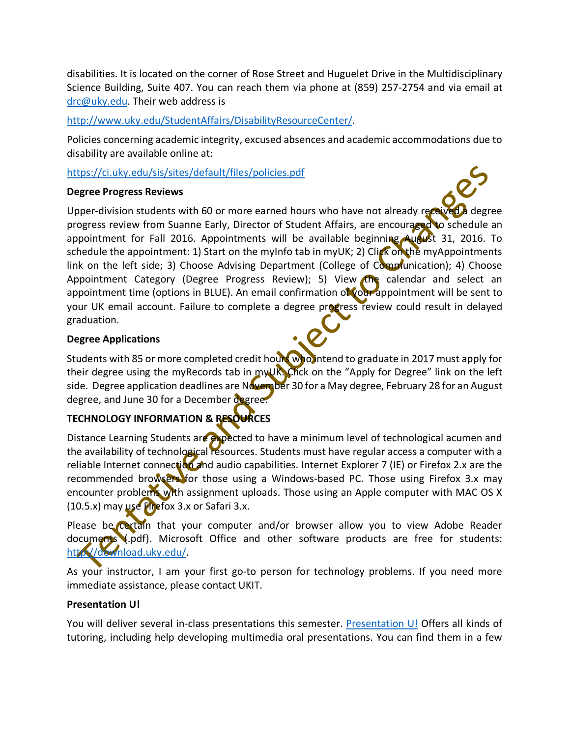disabilities. It is located on the corner of Rose Street and Huguelet Drive in the Multidisciplinary Science Building, Suite 407. You can reach them via phone at (859) 257-2754 and via email at drc@uky.edu. Their web address is

## http://www.uky.edu/StudentAffairs/DisabilityResourceCenter/.

Policies concerning academic integrity, excused absences and academic accommodations due to disability are available online at:

## https://ci.uky.edu/sis/sites/default/files/policies.pdf

## **Degree Progress Reviews**

Upper-division students with 60 or more earned hours who have not already received a degree progress review from Suanne Early, Director of Student Affairs, are encouraged to schedule an appointment for Fall 2016. Appointments will be available beginning August 31, 2016. To schedule the appointment: 1) Start on the myInfo tab in myUK; 2) Click on the myAppointments link on the left side; 3) Choose Advising Department (College of Comprunication); 4) Choose Appointment Category (Degree Progress Review); 5) View the calendar and select an appointment time (options in BLUE). An email confirmation of your appointment will be sent to your UK email account. Failure to complete a degree progress review could result in delayed graduation.

## **Degree Applications**

Students with 85 or more completed credit hours who intend to graduate in 2017 must apply for their degree using the myRecords tab in myUR. Click on the "Apply for Degree" link on the left side. Degree application deadlines are November 30 for a May degree, February 28 for an August degree, and June 30 for a December degree.

## **TECHNOLOGY INFORMATION & RESOURCES**

Distance Learning Students are expected to have a minimum level of technological acumen and the availability of technological resources. Students must have regular access a computer with a reliable Internet connection and audio capabilities. Internet Explorer 7 (IE) or Firefox 2.x are the recommended browsers for those using a Windows-based PC. Those using Firefox 3.x may encounter problems with assignment uploads. Those using an Apple computer with MAC OS X (10.5.x) may use Firefox 3.x or Safari 3.x.

Please be certain that your computer and/or browser allow you to view Adobe Reader documents (.pdf). Microsoft Office and other software products are free for students: http://download.uky.edu/.

As your instructor, I am your first go-to person for technology problems. If you need more immediate assistance, please contact UKIT.

## **Presentation U!**

You will deliver several in-class presentations this semester. Presentation U! Offers all kinds of tutoring, including help developing multimedia oral presentations. You can find them in a few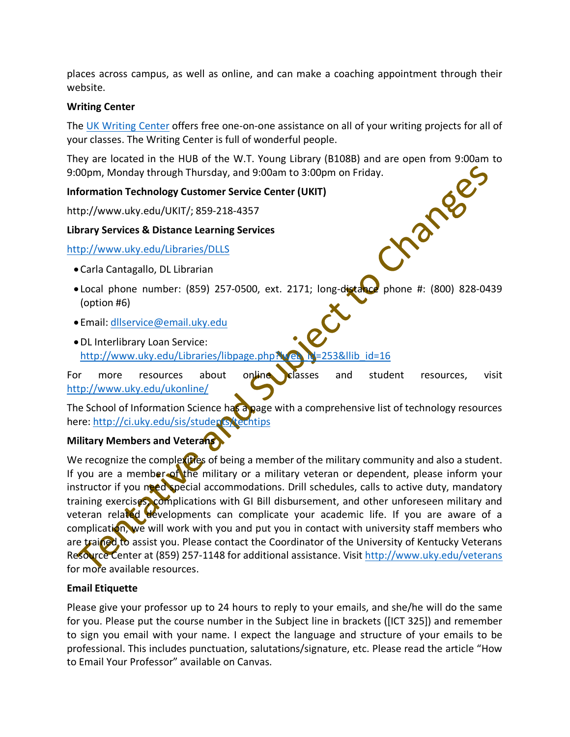places across campus, as well as online, and can make a coaching appointment through their website.

## **Writing Center**

The UK Writing Center offers free one-on-one assistance on all of your writing projects for all of your classes. The Writing Center is full of wonderful people.

They are located in the HUB of the W.T. Young Library (B108B) and are open from 9:00am to 9:00pm, Monday through Thursday, and 9:00am to 3:00pm on Friday.<br>
Information Technology Customer Service Center (UKIT)<br>
http://www.uky.edu/UKIT/; 859-218-4357<br>
Library Services & Distance Learning Services<br>
http://www.uky

## **Information Technology Customer Service Center (UKIT)**

http://www.uky.edu/UKIT/; 859-218-4357

## **Library Services & Distance Learning Services**

## http://www.uky.edu/Libraries/DLLS

- Carla Cantagallo, DL Librarian
- Local phone number:  $(859)$  257-0500, ext. 2171; long-distance phone #:  $(800)$  828-0439 (option #6)
- Email: dllservice@email.uky.edu
- •DL Interlibrary Loan Service: http://www.uky.edu/Libraries/libpage.php?lweb\_M=253&llib\_id=16

For more resources about online classes and student resources, visit http://www.uky.edu/ukonline/

The School of Information Science has a page with a comprehensive list of technology resources here: http://ci.uky.edu/sis/students/techtips

## **Military Members and Veterans**

We recognize the complexities of being a member of the military community and also a student. If you are a member of the military or a military veteran or dependent, please inform your instructor if you need special accommodations. Drill schedules, calls to active duty, mandatory training exercises, complications with GI Bill disbursement, and other unforeseen military and veteran related developments can complicate your academic life. If you are aware of a complication, we will work with you and put you in contact with university staff members who are trained to assist you. Please contact the Coordinator of the University of Kentucky Veterans Resource Center at (859) 257-1148 for additional assistance. Visit http://www.uky.edu/veterans for more available resources.

## **Email Etiquette**

Please give your professor up to 24 hours to reply to your emails, and she/he will do the same for you. Please put the course number in the Subject line in brackets ([ICT 325]) and remember to sign you email with your name. I expect the language and structure of your emails to be professional. This includes punctuation, salutations/signature, etc. Please read the article "How to Email Your Professor" available on Canvas.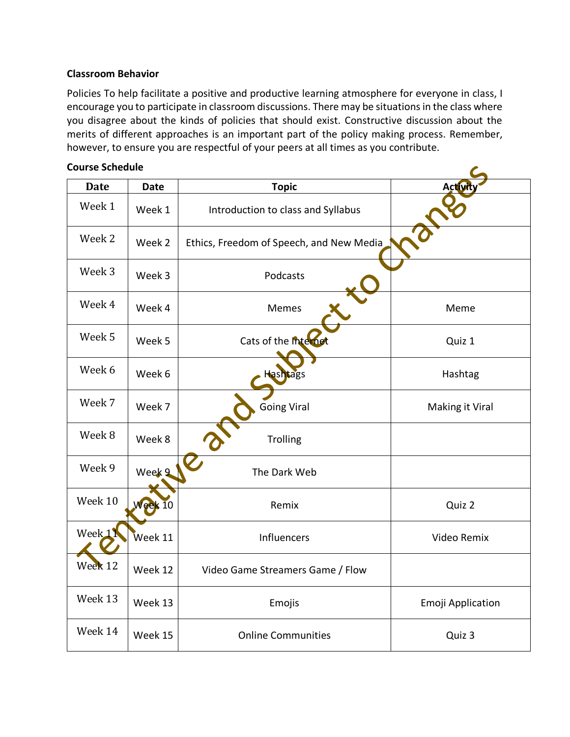## **Classroom Behavior**

Policies To help facilitate a positive and productive learning atmosphere for everyone in class, I encourage you to participate in classroom discussions. There may be situations in the class where you disagree about the kinds of policies that should exist. Constructive discussion about the merits of different approaches is an important part of the policy making process. Remember, however, to ensure you are respectful of your peers at all times as you contribute.

| <b>Course Schedule</b> |              |                                          |                   |  |
|------------------------|--------------|------------------------------------------|-------------------|--|
| <b>Date</b>            | <b>Date</b>  | <b>Topic</b>                             | Activity          |  |
| Week 1                 | Week 1       | Introduction to class and Syllabus       |                   |  |
| Week 2                 | Week 2       | Ethics, Freedom of Speech, and New Media |                   |  |
| Week 3                 | Week 3       | Podcasts                                 |                   |  |
| Week 4                 | Week 4       | Memes                                    | Meme              |  |
| Week 5                 | Week 5       | Cats of the Internet                     | Quiz 1            |  |
| Week 6                 | Week 6       | Hashtags                                 | Hashtag           |  |
| Week 7                 | Week 7       | <b>Going Viral</b>                       | Making it Viral   |  |
| Week 8                 | Week 8       | Trolling                                 |                   |  |
| Week 9                 | Week 9       | The Dark Web                             |                   |  |
| Week 10                | $N$ eek $10$ | Remix                                    | Quiz 2            |  |
| Week <sub>11</sub>     | Week 11      | Influencers                              | Video Remix       |  |
| Week 12                | Week 12      | Video Game Streamers Game / Flow         |                   |  |
| Week 13                | Week 13      | Emojis                                   | Emoji Application |  |
| Week 14                | Week 15      | <b>Online Communities</b>                | Quiz 3            |  |